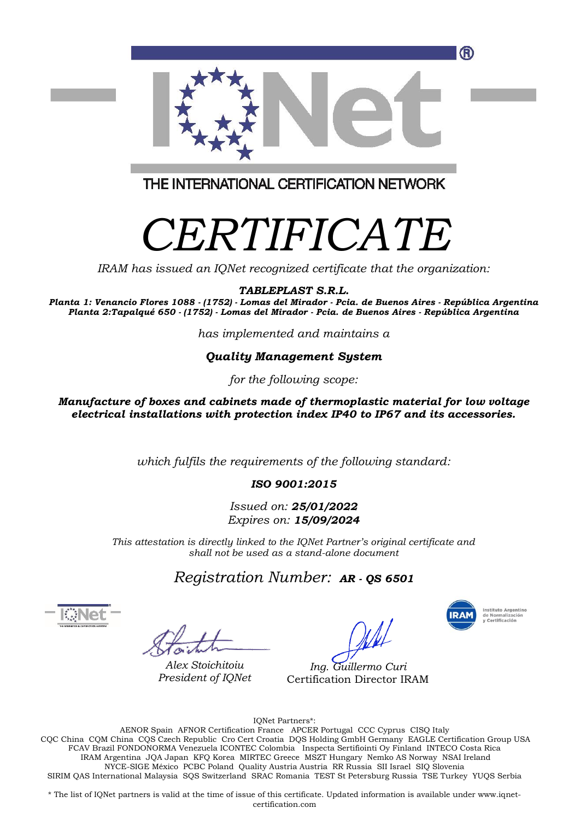

THE INTERNATIONAL CERTIFICATION NETWORK

## *CERTIFICATE*

*IRAM has issued an IQNet recognized certificate that the organization:*

*TABLEPLAST S.R.L.*

*Planta 1: Venancio Flores 1088 - (1752) - Lomas del Mirador - Pcia. de Buenos Aires - República Argentina Planta 2:Tapalqué 650 - (1752) - Lomas del Mirador - Pcia. de Buenos Aires - República Argentina*

*has implemented and maintains a*

## *Quality Management System*

*for the following scope:*

*Manufacture of boxes and cabinets made of thermoplastic material for low voltage electrical installations with protection index IP40 to IP67 and its accessories.*

*which fulfils the requirements of the following standard:*

*ISO 9001:2015*

*Issued on: 25/01/2022 Expires on: 15/09/2024*

*This attestation is directly linked to the IQNet Partner's original certificate and shall not be used as a stand-alone document*

*Registration Number: AR - QS <sup>6501</sup>*

*Alex Stoichitoiu President of IQNet*



*Ing. Guillermo Curi* Certification Director IRAM

IQNet Partners\*:

AENOR Spain AFNOR Certification France APCER Portugal CCC Cyprus CISQ Italy CQC China CQM China CQS Czech Republic Cro Cert Croatia DQS Holding GmbH Germany EAGLE Certification Group USA FCAV Brazil FONDONORMA Venezuela ICONTEC Colombia Inspecta Sertifiointi Oy Finland INTECO Costa Rica IRAM Argentina JQA Japan KFQ Korea MIRTEC Greece MSZT Hungary Nemko AS Norway NSAI Ireland NYCE-SIGE México PCBC Poland Quality Austria Austria RR Russia SII Israel SIQ Slovenia SIRIM QAS International Malaysia SQS Switzerland SRAC Romania TEST St Petersburg Russia TSE Turkey YUQS Serbia

\* The list of IQNet partners is valid at the time of issue of this certificate. Updated information is available under www.iqnetcertification.com